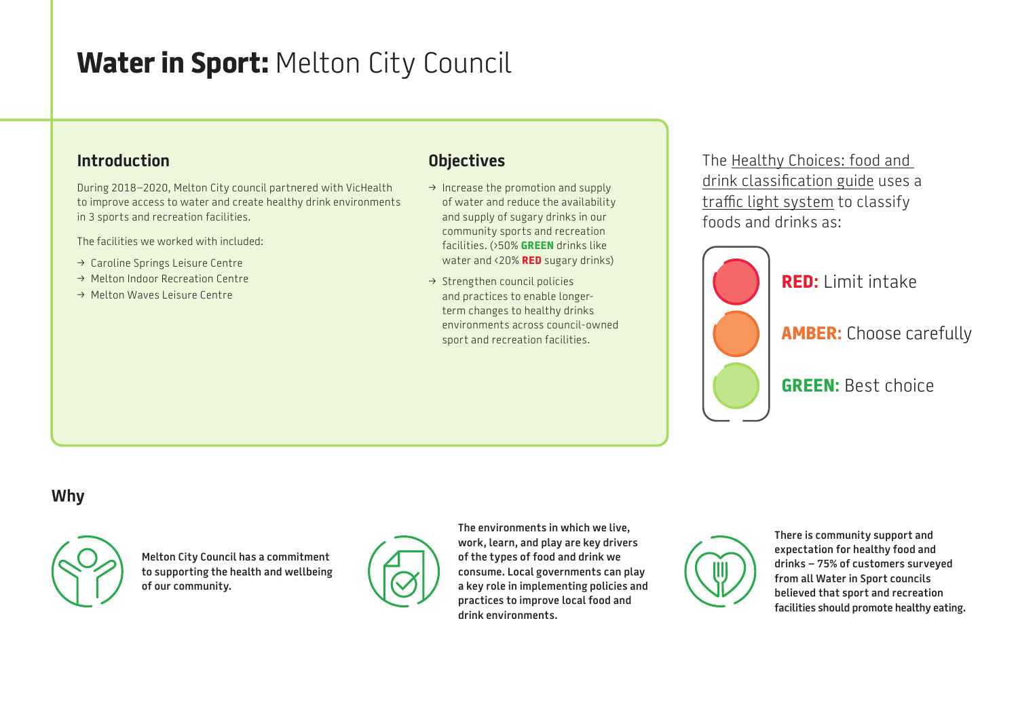# **Water in Sport:** Melton City Council

#### **Introduction**

During 2018–2020, Melton City council partnered with VicHealth to improve access to water and create healthy drink environments in 3 sports and recreation facilities.

The facilities we worked with included:

- > Caroline Springs Leisure Centre
- $\rightarrow$  Melton Indoor Recreation Centre
- → Melton Waves Leisure Centre

## **Objectives**

- $\rightarrow$  Increase the promotion and supply of water and reduce the availability and supply of sugary drinks in our community sports and recreation facilities. (›50% **GREEN** drinks like water and ‹20% **RED** sugary drinks)
- $\rightarrow$  Strengthen council policies and practices to enable longerterm changes to healthy drinks environments across council-owned sport and recreation facilities.

The [Healthy Choices: food and](https://www2.health.vic.gov.au/public-health/preventive-health/nutrition/healthy-choices-for-retail-outlets-vending-machines-catering)  [drink classification guide](https://www2.health.vic.gov.au/public-health/preventive-health/nutrition/healthy-choices-for-retail-outlets-vending-machines-catering) uses a [traffic light system](https://heas.health.vic.gov.au/healthy-choices/guidelines/traffic-light-system) to classify foods and drinks as:



**RED:** Limit intake

**AMBER:** Choose carefully

**GREEN:** Best choice

## **Why**



**Melton City Council has a commitment to supporting the health and wellbeing of our community.** 



**The environments in which we live, work, learn, and play are key drivers of the types of food and drink we consume. Local governments can play a key role in implementing policies and practices to improve local food and drink environments.**



**There is community support and expectation for healthy food and drinks – 75% of customers surveyed from all Water in Sport councils believed that sport and recreation facilities should promote healthy eating.**